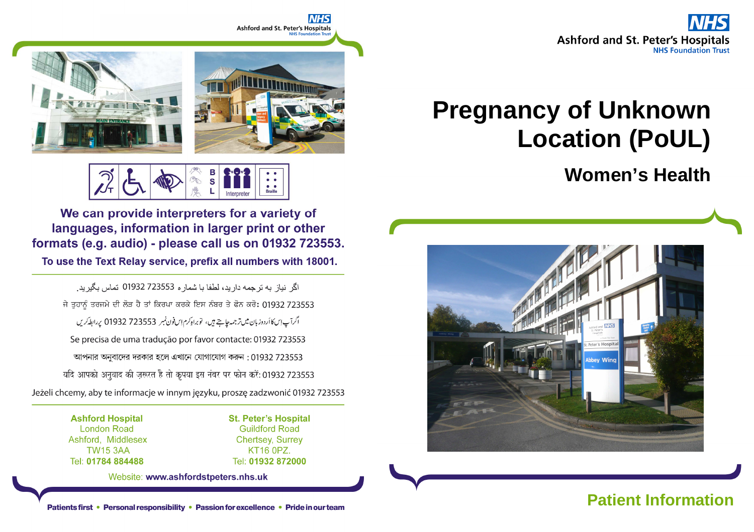

# **Pregnancy of Unknown Location (PoUL)**

**Women's Health**





 $\overline{\mathbf{s}}$ **Rraille** 

We can provide interpreters for a variety of languages, information in larger print or other formats (e.g. audio) - please call us on 01932 723553.

To use the Text Relay service, prefix all numbers with 18001.

اگر انباز به ترجمه دار بد، لطفا با شمار ه 723553 01932 تماس بگير بد. ਜੇ ਤਹਾਨੂੰ ਤਰਜਮੇ ਦੀ ਲੋੜ ਹੈ ਤਾਂ ਕਿਰਪਾ ਕਰਕੇ ਇਸ ਨੰਬਰ ਤੇ ਫੋਨ ਕਰੋ: 01932 723553 اگرآپ این کا اُردوز بان میں تر جمہ جاچتے ہیں، تو براہ کرم اِس فون نمبر 723553 01932 پر ابط کریں Se precisa de uma tradução por favor contacte: 01932 723553 আপনার অনুবাদের দরকার হলে এখানে যোগাযোগ করুন : 01932 723553 यदि आपको अनुवाद की ज़रूरत है तो कृपया इस नंबर पर फोन करें: 01932 723553 Jeżeli chcemy, aby te informacje w innym języku, proszę zadzwonić 01932 723553

> **Ashford Hospital London Road** Ashford, Middlesex **TW15 3AA** Tel: 01784 884488

**St. Peter's Hospital Guildford Road Chertsey, Surrey** KT16 0PZ Tel: 01932 872000

Website: www.ashfordstpeters.nhs.uk

Patients first • Personal responsibility • Passion for excellence • Pride in our team<br>Patients first • Personal responsibility • Passion for excellence • Pride in our team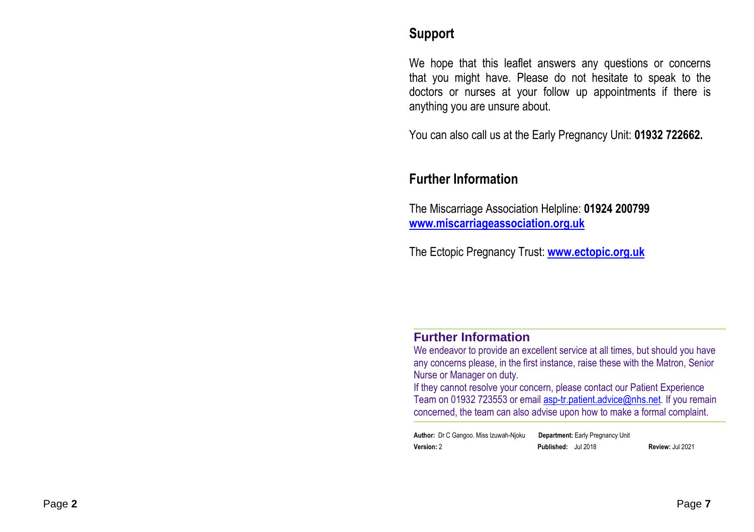## **Support**

We hope that this leaflet answers any questions or concerns that you might have. Please do not hesitate to speak to the doctors or nurses at your follow up appointments if there is anything you are unsure about.

You can also call us at the Early Pregnancy Unit: **01932 722662.** 

## **Further Information**

The Miscarriage Association Helpline: **01924 200799www.miscarriageassociation.org.uk**

The Ectopic Pregnancy Trust: **www.ectopic.org.uk**

### **Further Information**

 We endeavor to provide an excellent service at all times, but should you have any concerns please, in the first instance, raise these with the Matron, Senior Nurse or Manager on duty.

 If they cannot resolve your concern, please contact our Patient Experience Team on 01932 723553 or email **asp-tr.patient.advice@nhs.net**. If you remain concerned, the team can also advise upon how to make a formal complaint.

**Author:** Dr C Gangoo. Miss Izuwah-Njoku **Department:** Early Pregnancy Unit**Version:** 2 **Published:** Jul 2018 **Review:** Jul 2021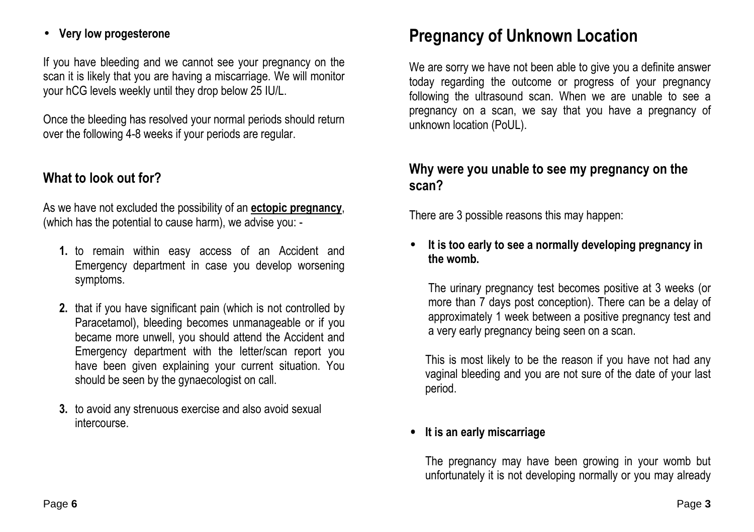## • **Very low progesterone**

If you have bleeding and we cannot see your pregnancy on the scan it is likely that you are having a miscarriage. We will monitor your hCG levels weekly until they drop below 25 IU/L.

Once the bleeding has resolved your normal periods should return over the following 4-8 weeks if your periods are regular.

## **What to look out for?**

As we have not excluded the possibility of an **ectopic pregnancy**, (which has the potential to cause harm), we advise you: -

- **1.** to remain within easy access of an Accident and Emergency department in case you develop worsening symptoms.
- **2.** that if you have significant pain (which is not controlled by Paracetamol), bleeding becomes unmanageable or if you became more unwell, you should attend the Accident and Emergency department with the letter/scan report you have been given explaining your current situation. You should be seen by the gynaecologist on call.
- **3.** to avoid any strenuous exercise and also avoid sexual intercourse.

## **Pregnancy of Unknown Location**

We are sorry we have not been able to give you a definite answer today regarding the outcome or progress of your pregnancy following the ultrasound scan. When we are unable to see a pregnancy on a scan, we say that you have a pregnancy of unknown location (PoUL).

## **Why were you unable to see my pregnancy on the scan?**

There are 3 possible reasons this may happen:

• **It is too early to see a normally developing pregnancy in the womb.** 

The urinary pregnancy test becomes positive at 3 weeks (or more than 7 days post conception). There can be a delay of approximately 1 week between a positive pregnancy test and a very early pregnancy being seen on a scan.

This is most likely to be the reason if you have not had any vaginal bleeding and you are not sure of the date of your last period.

## • **It is an early miscarriage**

The pregnancy may have been growing in your womb but unfortunately it is not developing normally or you may already